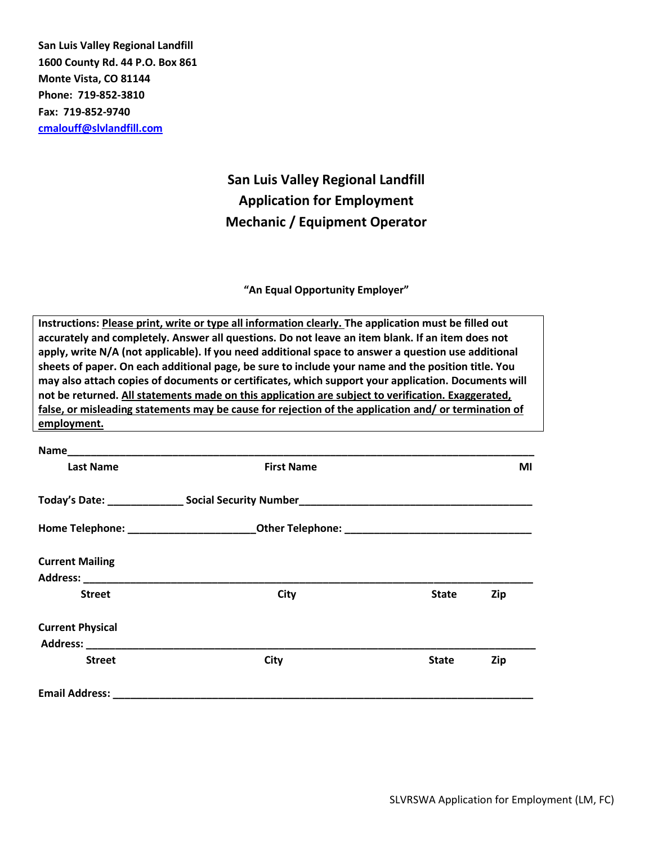**San Luis Valley Regional Landfill 1600 County Rd. 44 P.O. Box 861 Monte Vista, CO 81144 Phone: 719-852-3810 Fax: 719-852-9740 [cmalouff@slvlandfill.com](mailto:cmalouff@slvlandfill.com)**

# **San Luis Valley Regional Landfill Application for Employment Mechanic / Equipment Operator**

### **"An Equal Opportunity Employer"**

**Instructions: Please print, write or type all information clearly. The application must be filled out accurately and completely. Answer all questions. Do not leave an item blank. If an item does not apply, write N/A (not applicable). If you need additional space to answer a question use additional sheets of paper. On each additional page, be sure to include your name and the position title. You may also attach copies of documents or certificates, which support your application. Documents will not be returned. All statements made on this application are subject to verification. Exaggerated, false, or misleading statements may be cause for rejection of the application and/ or termination of employment.**

| <b>Last Name</b>                                                                                                                                                                                                                                         | <b>First Name</b> |              | ΜI  |
|----------------------------------------------------------------------------------------------------------------------------------------------------------------------------------------------------------------------------------------------------------|-------------------|--------------|-----|
|                                                                                                                                                                                                                                                          |                   |              |     |
|                                                                                                                                                                                                                                                          |                   |              |     |
| <b>Current Mailing</b>                                                                                                                                                                                                                                   |                   |              |     |
|                                                                                                                                                                                                                                                          |                   |              |     |
| <b>Street</b>                                                                                                                                                                                                                                            | <b>City</b>       | <b>State</b> | Zip |
| <b>Current Physical</b><br>Address: Analysis and Address and Address and Address and Address and Address and Address and Address and Address and Address and Address and Address and Address and Address and Address and Address and Address and Address |                   |              |     |
| <b>Street</b>                                                                                                                                                                                                                                            | City              | <b>State</b> | Zip |
| <b>Email Address:</b>                                                                                                                                                                                                                                    |                   |              |     |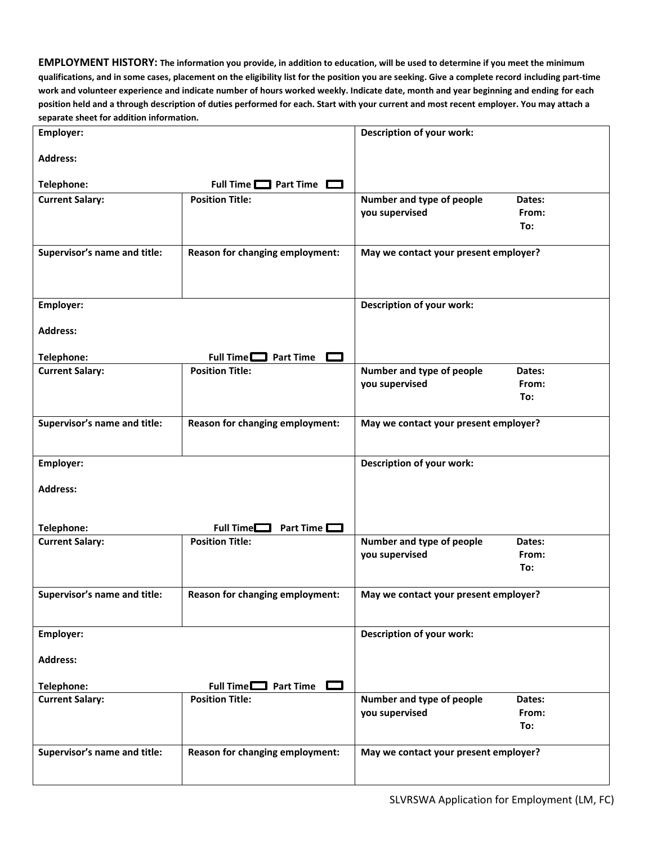**EMPLOYMENT HISTORY: The information you provide, in addition to education, will be used to determine if you meet the minimum qualifications, and in some cases, placement on the eligibility list for the position you are seeking. Give a complete record including part-time work and volunteer experience and indicate number of hours worked weekly. Indicate date, month and year beginning and ending for each position held and a through description of duties performed for each. Start with your current and most recent employer. You may attach a separate sheet for addition information.**

| parate sheet for agaition information.<br>Employer: |                                   | <b>Description of your work:</b>      |
|-----------------------------------------------------|-----------------------------------|---------------------------------------|
|                                                     |                                   |                                       |
| <b>Address:</b>                                     |                                   |                                       |
| Telephone:                                          | Full Time $\Box$ Part Time $\Box$ |                                       |
| <b>Current Salary:</b>                              | <b>Position Title:</b>            | Number and type of people<br>Dates:   |
|                                                     |                                   | you supervised<br>From:               |
|                                                     |                                   | To:                                   |
| Supervisor's name and title:                        | Reason for changing employment:   | May we contact your present employer? |
|                                                     |                                   |                                       |
|                                                     |                                   |                                       |
|                                                     |                                   |                                       |
| Employer:                                           |                                   | Description of your work:             |
|                                                     |                                   |                                       |
| <b>Address:</b>                                     |                                   |                                       |
| Telephone:                                          | Full Time $\Box$ Part Time $\Box$ |                                       |
| <b>Current Salary:</b>                              | <b>Position Title:</b>            | Number and type of people<br>Dates:   |
|                                                     |                                   | you supervised<br>From:               |
|                                                     |                                   | To:                                   |
| Supervisor's name and title:                        | Reason for changing employment:   | May we contact your present employer? |
|                                                     |                                   |                                       |
|                                                     |                                   |                                       |
| Employer:                                           |                                   | Description of your work:             |
|                                                     |                                   |                                       |
| <b>Address:</b>                                     |                                   |                                       |
|                                                     |                                   |                                       |
| Telephone:                                          | Full Time $\square$<br>Part Time  |                                       |
| <b>Current Salary:</b>                              | <b>Position Title:</b>            | Number and type of people<br>Dates:   |
|                                                     |                                   | you supervised<br>From:               |
|                                                     |                                   | To:                                   |
| Supervisor's name and title:                        | Reason for changing employment:   | May we contact your present employer? |
|                                                     |                                   |                                       |
|                                                     |                                   |                                       |
| Employer:                                           |                                   | Description of your work:             |
| <b>Address:</b>                                     |                                   |                                       |
|                                                     |                                   |                                       |
| Telephone:                                          | Full Time $\Box$ Part Time        |                                       |
| <b>Current Salary:</b>                              | <b>Position Title:</b>            | Number and type of people<br>Dates:   |
|                                                     |                                   | you supervised<br>From:               |
|                                                     |                                   | To:                                   |
| Supervisor's name and title:                        | Reason for changing employment:   | May we contact your present employer? |
|                                                     |                                   |                                       |
|                                                     |                                   |                                       |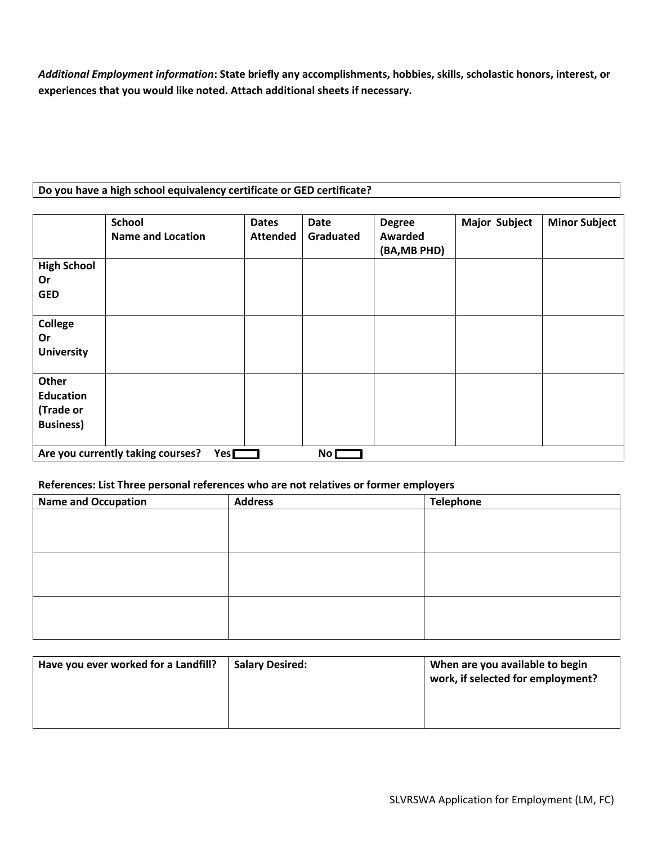*Additional Employment information***: State briefly any accomplishments, hobbies, skills, scholastic honors, interest, or experiences that you would like noted. Attach additional sheets if necessary.**

## **Do you have a high school equivalency certificate or GED certificate?**

|                                                                    | <b>School</b><br><b>Name and Location</b> | <b>Dates</b><br><b>Attended</b> | <b>Date</b><br>Graduated | <b>Degree</b><br>Awarded<br>(BA, MB PHD) | <b>Major Subject</b> | <b>Minor Subject</b> |
|--------------------------------------------------------------------|-------------------------------------------|---------------------------------|--------------------------|------------------------------------------|----------------------|----------------------|
| <b>High School</b><br>Or<br><b>GED</b>                             |                                           |                                 |                          |                                          |                      |                      |
| <b>College</b><br>Or<br><b>University</b>                          |                                           |                                 |                          |                                          |                      |                      |
| Other<br><b>Education</b><br>(Trade or<br><b>Business)</b>         |                                           |                                 |                          |                                          |                      |                      |
| Are you currently taking courses?<br>Yes $\square$<br>No $\square$ |                                           |                                 |                          |                                          |                      |                      |

### **References: List Three personal references who are not relatives or former employers**

| <b>Name and Occupation</b> | <b>Address</b> | <b>Telephone</b> |
|----------------------------|----------------|------------------|
|                            |                |                  |
|                            |                |                  |
|                            |                |                  |
|                            |                |                  |
|                            |                |                  |
|                            |                |                  |
|                            |                |                  |
|                            |                |                  |
|                            |                |                  |

| Have you ever worked for a Landfill? | <b>Salary Desired:</b> | When are you available to begin<br>work, if selected for employment? |
|--------------------------------------|------------------------|----------------------------------------------------------------------|
|                                      |                        |                                                                      |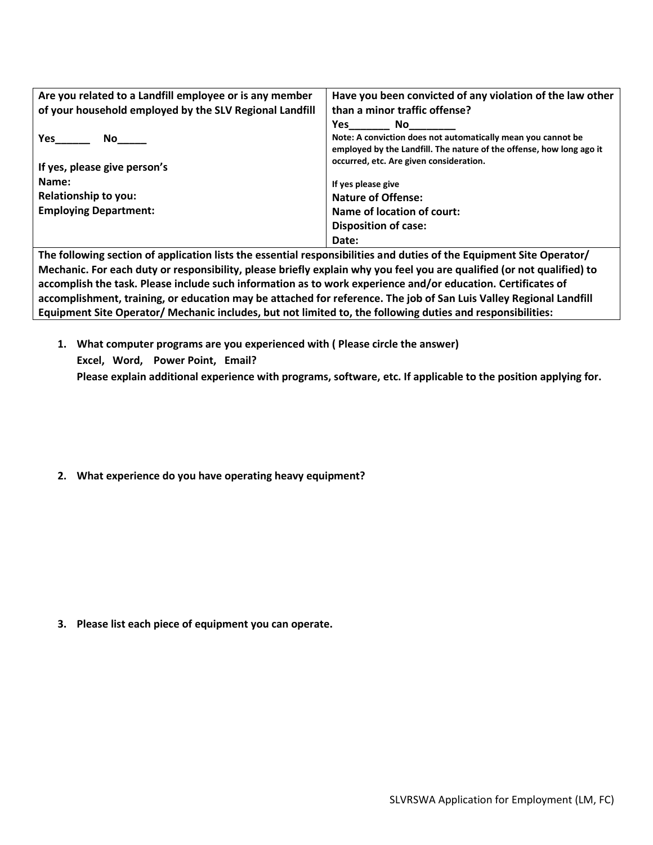| Are you related to a Landfill employee or is any member | Have you been convicted of any violation of the law other            |
|---------------------------------------------------------|----------------------------------------------------------------------|
| of your household employed by the SLV Regional Landfill | than a minor traffic offense?                                        |
|                                                         | Yes<br>No l                                                          |
| Yes                                                     | Note: A conviction does not automatically mean you cannot be         |
|                                                         | employed by the Landfill. The nature of the offense, how long ago it |
| If yes, please give person's                            | occurred, etc. Are given consideration.                              |
| Name:                                                   | If yes please give                                                   |
| <b>Relationship to you:</b>                             | <b>Nature of Offense:</b>                                            |
| <b>Employing Department:</b>                            | Name of location of court:                                           |
|                                                         | <b>Disposition of case:</b>                                          |
|                                                         | Date:                                                                |

**The following section of application lists the essential responsibilities and duties of the Equipment Site Operator/ Mechanic. For each duty or responsibility, please briefly explain why you feel you are qualified (or not qualified) to accomplish the task. Please include such information as to work experience and/or education. Certificates of accomplishment, training, or education may be attached for reference. The job of San Luis Valley Regional Landfill Equipment Site Operator/ Mechanic includes, but not limited to, the following duties and responsibilities:**

**1. What computer programs are you experienced with ( Please circle the answer) Excel, Word, Power Point, Email? Please explain additional experience with programs, software, etc. If applicable to the position applying for.** 

**2. What experience do you have operating heavy equipment?**

**3. Please list each piece of equipment you can operate.**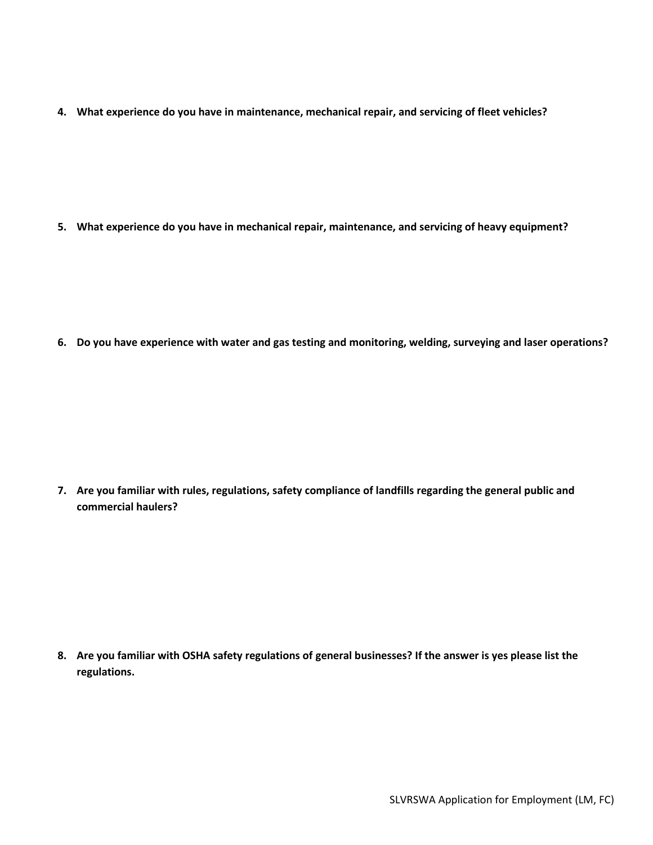**4. What experience do you have in maintenance, mechanical repair, and servicing of fleet vehicles?**

**5. What experience do you have in mechanical repair, maintenance, and servicing of heavy equipment?**

**6. Do you have experience with water and gas testing and monitoring, welding, surveying and laser operations?**

**7. Are you familiar with rules, regulations, safety compliance of landfills regarding the general public and commercial haulers?**

**8. Are you familiar with OSHA safety regulations of general businesses? If the answer is yes please list the regulations.**